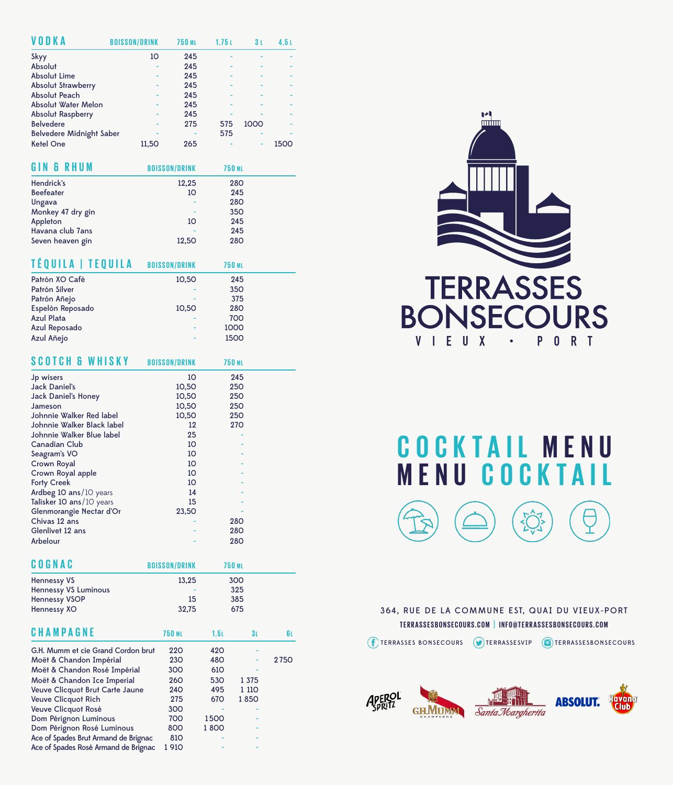| VODKA                           | <b>BOISSON/DRINK</b> | <b>750 ML</b> | 1,751 | 3 L  | 4,5 L |
|---------------------------------|----------------------|---------------|-------|------|-------|
| Skyy                            | 10                   | 245           |       |      |       |
| Absolut                         |                      | 245           |       |      |       |
| <b>Absolut Lime</b>             |                      | 245           |       |      |       |
| <b>Absolut Strawberry</b>       |                      | 245           |       |      |       |
| <b>Absolut Peach</b>            |                      | 245           |       |      |       |
| Absolut Water Melon             |                      | 245           |       |      |       |
| <b>Absolut Raspberry</b>        |                      | 245           |       |      |       |
| <b>Belvedere</b>                |                      | 275           | 575   | 1000 |       |
| <b>Belvedere Midnight Saber</b> |                      |               | 575   |      |       |
| <b>Ketel One</b>                | 11.50                | 265           |       | -    | 150   |

| <b>GIN &amp; RHUM</b> | <b>BOISSON/DRINK</b> | <b>750 ML</b> |
|-----------------------|----------------------|---------------|
| Hendrick's            | 12,25                | <b>280</b>    |
| <b>Beefeater</b>      | 10                   | 245           |
| Ungava                |                      | <b>280</b>    |
| Monkey 47 dry gin     |                      | 350           |
| Appleton              | 10                   | 245           |
| Havana club 7ans      |                      | 245           |
| Seven heaven gin      | 12,50                | <b>280</b>    |

| TÉQUILA   TEQUILA | <b>BOISSON/DRINK</b> | <b>750 ML</b> |  |
|-------------------|----------------------|---------------|--|
| Patrón XO Café    | 10,50                | 245           |  |
| Patrón Silver     |                      | 350           |  |
| Patrón Añejo      |                      | 375           |  |
| Espelòn Reposado  | 10,50                | <b>280</b>    |  |
| <b>Azul Plata</b> |                      | 700           |  |
| Azul Reposado     |                      | 1000          |  |
| Azul Añejo        |                      | 1500          |  |

| <b>SCOTCH &amp; WHISKY</b> | <b>BOISSON/DRINK</b> | <b>750 ML</b> |
|----------------------------|----------------------|---------------|
| Jp wisers                  | 10                   | 245           |
| <b>Jack Daniel's</b>       | 10,50                | 250           |
| <b>Jack Daniel's Honey</b> | 10,50                | 250           |
| Jameson                    | 10,50                | 250           |
| Johnnie Walker Red label   | 10,50                | 250           |
| Johnnie Walker Black label | 12                   | <b>270</b>    |
| Johnnie Walker Blue label  | 25                   |               |
| <b>Canadian Club</b>       | 10                   |               |
| Seagram's VO               | 10                   |               |
| <b>Crown Royal</b>         | 10                   |               |
| Crown Royal apple          | 10                   |               |
| <b>Forty Creek</b>         | 10                   |               |
| Ardbeg 10 ans/10 years     | 14                   |               |
| Talisker 10 ans/10 years   | 15                   |               |
| Glenmorangie Nectar d'Or   | 23,50                |               |
| Chivas 12 ans              |                      | 280           |
| Glenlivet 12 ans           |                      | 280           |
| Arbelour                   |                      | 280           |

| <b>COGNAC</b>                        | <b>BOISSON/DRINK</b> |      | <b>750 ML</b>  |      |
|--------------------------------------|----------------------|------|----------------|------|
| <b>Hennessy VS</b>                   | 13,25                |      | 300            |      |
| <b>Hennessy VS Luminous</b>          |                      |      | 325            |      |
| <b>Hennessy VSOP</b>                 | 15                   |      | 385            |      |
| Hennessy XO                          | 32,75                |      | 675            |      |
|                                      |                      |      |                |      |
| <b>CHAMPAGNE</b>                     | <b>750 ML</b>        | 1,51 | 3 <sub>L</sub> | 6L.  |
| G.H. Mumm et cie Grand Cordon brut   | 220                  | 420  |                |      |
| Moët & Chandon Impérial              | 230                  | 480  |                | 2750 |
| Moët & Chandon Rosé Impérial         | 300                  | 610  |                |      |
| Moët & Chandon Ice Imperial          | 260                  | 530  | 1 3 7 5        |      |
| Veuve Clicquot Brut Carte Jaune      | 240                  | 495  | 1 110          |      |
| <b>Veuve Clicquot Rich</b>           | 275                  | 670  | 1850           |      |
| Veuve Clicquot Rosé                  | 300                  |      |                |      |
| Dom Pérignon Luminous                | 700                  | 1500 |                |      |
| Dom Pérignon Rosé Luminous           | 800                  | 1800 |                |      |
| Ace of Spades Brut Armand de Brignac | 810                  |      |                |      |
| Ace of Spades Rosé Armand de Brignac | 1 910                |      |                |      |



**MENU C O C K TA I L C O C K TA I L MENU**

364, RUE DE LA COMMUNE EST, QUAI DU VIEUX-PORT **TERRASSESBONSECOURS.COM | INFO@TERRASSESBONSECOURS.COM**

(F) TERRASSES BONSECOURS (D) TERRASSESVIP (D) TERRASSESBONSECOURS